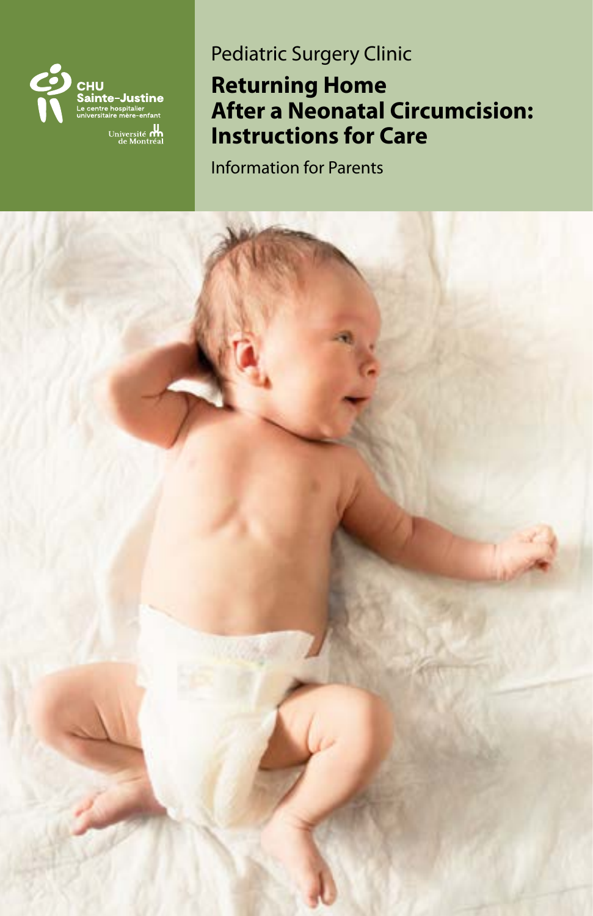

# Pediatric Surgery Clinic

# **Returning Home After a Neonatal Circumcision: Instructions for Care**

Information for Parents

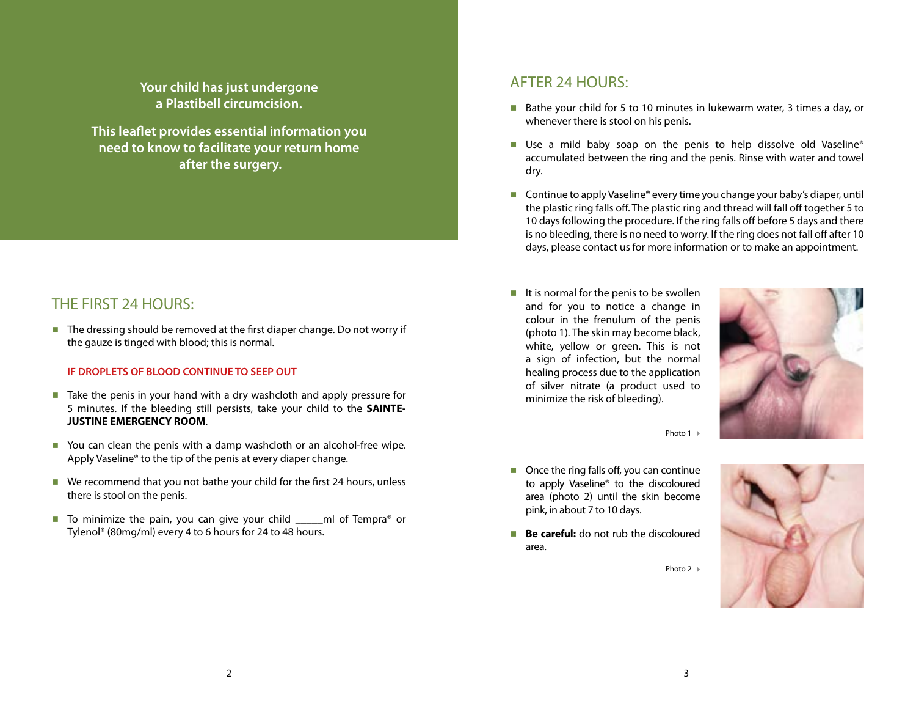**Your child has just undergone a Plastibell circumcision.**

**This leaflet provides essential information you need to know to facilitate your return home after the surgery.**

## THE FIRST 24 HOURS:

■ The dressing should be removed at the first diaper change. Do not worry if the gauze is tinged with blood; this is normal.

### **IF DROPLETS OF BLOOD CONTINUE TO SEEP OUT**

- Take the penis in your hand with a dry washcloth and apply pressure for 5 minutes. If the bleeding still persists, take your child to the **SAINTE-JUSTINE EMERGENCY ROOM**.
- You can clean the penis with a damp washcloth or an alcohol-free wipe. Apply Vaseline® to the tip of the penis at every diaper change.
- $\blacksquare$  We recommend that you not bathe your child for the first 24 hours, unless there is stool on the penis.
- To minimize the pain, you can give your child end of Tempra<sup>®</sup> or Tylenol® (80mg/ml) every 4 to 6 hours for 24 to 48 hours.

### AFTER 24 HOURS:

- Bathe your child for 5 to 10 minutes in lukewarm water, 3 times a day, or whenever there is stool on his penis.
- Use a mild baby soap on the penis to help dissolve old Vaseline® accumulated between the ring and the penis. Rinse with water and towel dry.
- Continue to apply Vaseline<sup>®</sup> every time you change your baby's diaper, until the plastic ring falls off. The plastic ring and thread will fall off together 5 to 10 days following the procedure. If the ring falls off before 5 days and there is no bleeding, there is no need to worry. If the ring does not fall off after 10 days, please contact us for more information or to make an appointment.
- $\blacksquare$  It is normal for the penis to be swollen and for you to notice a change in colour in the frenulum of the penis (photo 1). The skin may become black, white, yellow or green. This is not a sign of infection, but the normal healing process due to the application of silver nitrate (a product used to minimize the risk of bleeding).





- $\blacksquare$  Once the ring falls off, you can continue to apply Vaseline® to the discoloured area (photo 2) until the skin become pink, in about 7 to 10 days.
- **Be careful:** do not rub the discoloured area.